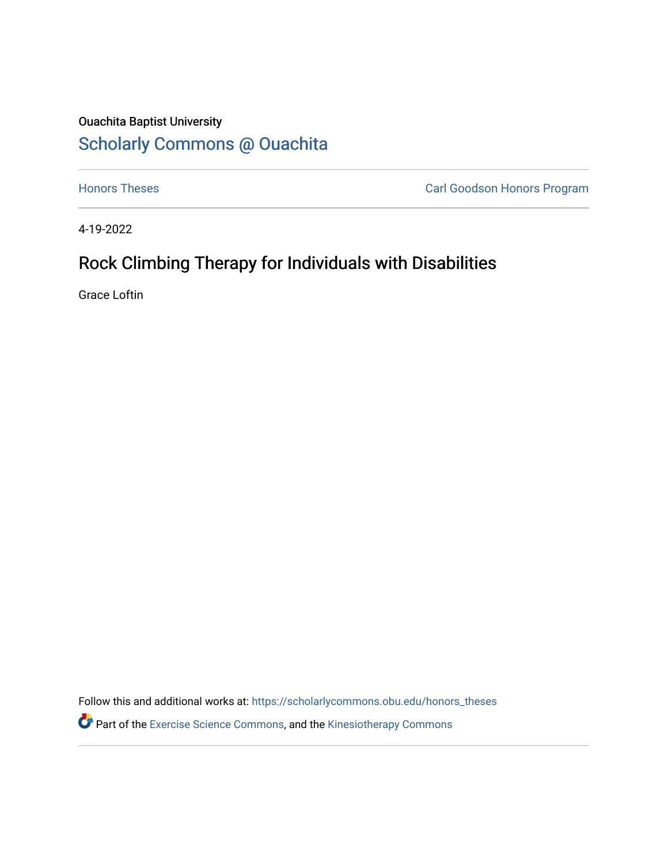# Ouachita Baptist University [Scholarly Commons @ Ouachita](https://scholarlycommons.obu.edu/)

**[Honors Theses](https://scholarlycommons.obu.edu/honors_theses) Carl Goodson Honors Program** 

4-19-2022

# Rock Climbing Therapy for Individuals with Disabilities

Grace Loftin

Follow this and additional works at: [https://scholarlycommons.obu.edu/honors\\_theses](https://scholarlycommons.obu.edu/honors_theses?utm_source=scholarlycommons.obu.edu%2Fhonors_theses%2F841&utm_medium=PDF&utm_campaign=PDFCoverPages) 

**P** Part of the [Exercise Science Commons](http://network.bepress.com/hgg/discipline/1091?utm_source=scholarlycommons.obu.edu%2Fhonors_theses%2F841&utm_medium=PDF&utm_campaign=PDFCoverPages), and the Kinesiotherapy Commons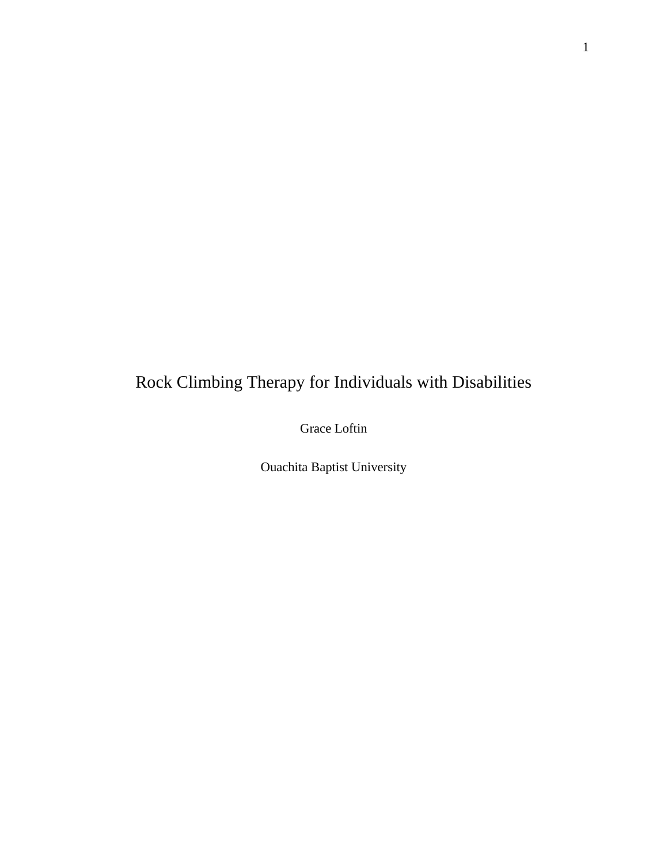# Rock Climbing Therapy for Individuals with Disabilities

Grace Loftin

Ouachita Baptist University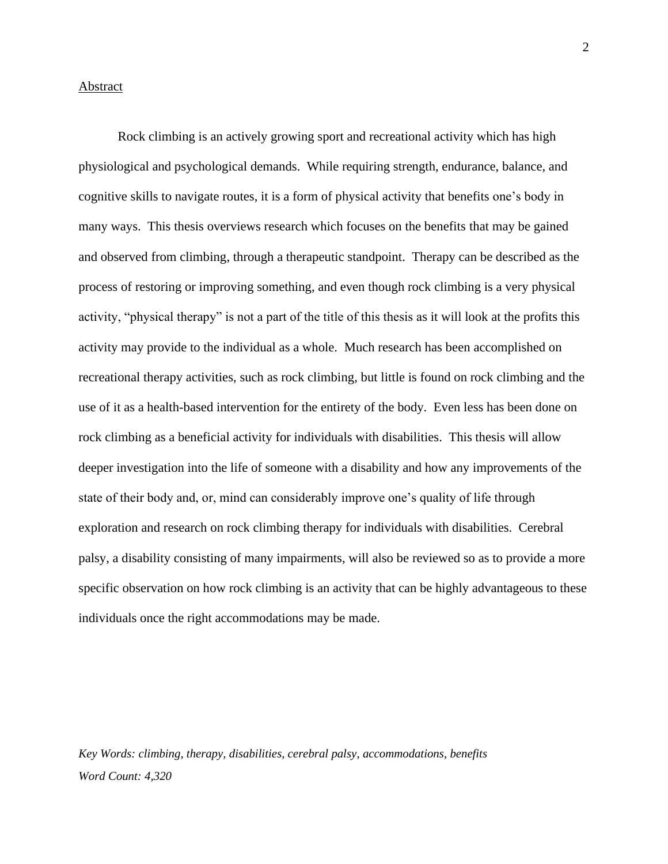#### Abstract

Rock climbing is an actively growing sport and recreational activity which has high physiological and psychological demands. While requiring strength, endurance, balance, and cognitive skills to navigate routes, it is a form of physical activity that benefits one's body in many ways. This thesis overviews research which focuses on the benefits that may be gained and observed from climbing, through a therapeutic standpoint. Therapy can be described as the process of restoring or improving something, and even though rock climbing is a very physical activity, "physical therapy" is not a part of the title of this thesis as it will look at the profits this activity may provide to the individual as a whole. Much research has been accomplished on recreational therapy activities, such as rock climbing, but little is found on rock climbing and the use of it as a health-based intervention for the entirety of the body. Even less has been done on rock climbing as a beneficial activity for individuals with disabilities. This thesis will allow deeper investigation into the life of someone with a disability and how any improvements of the state of their body and, or, mind can considerably improve one's quality of life through exploration and research on rock climbing therapy for individuals with disabilities. Cerebral palsy, a disability consisting of many impairments, will also be reviewed so as to provide a more specific observation on how rock climbing is an activity that can be highly advantageous to these individuals once the right accommodations may be made.

*Key Words: climbing, therapy, disabilities, cerebral palsy, accommodations, benefits Word Count: 4,320*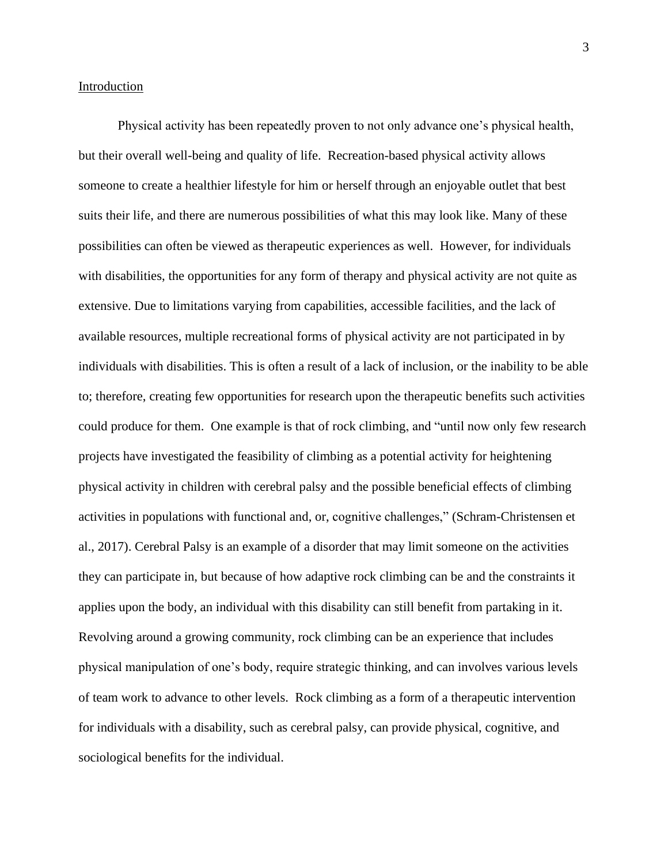## Introduction

Physical activity has been repeatedly proven to not only advance one's physical health, but their overall well-being and quality of life. Recreation-based physical activity allows someone to create a healthier lifestyle for him or herself through an enjoyable outlet that best suits their life, and there are numerous possibilities of what this may look like. Many of these possibilities can often be viewed as therapeutic experiences as well. However, for individuals with disabilities, the opportunities for any form of therapy and physical activity are not quite as extensive. Due to limitations varying from capabilities, accessible facilities, and the lack of available resources, multiple recreational forms of physical activity are not participated in by individuals with disabilities. This is often a result of a lack of inclusion, or the inability to be able to; therefore, creating few opportunities for research upon the therapeutic benefits such activities could produce for them. One example is that of rock climbing, and "until now only few research projects have investigated the feasibility of climbing as a potential activity for heightening physical activity in children with cerebral palsy and the possible beneficial effects of climbing activities in populations with functional and, or, cognitive challenges," (Schram-Christensen et al., 2017). Cerebral Palsy is an example of a disorder that may limit someone on the activities they can participate in, but because of how adaptive rock climbing can be and the constraints it applies upon the body, an individual with this disability can still benefit from partaking in it. Revolving around a growing community, rock climbing can be an experience that includes physical manipulation of one's body, require strategic thinking, and can involves various levels of team work to advance to other levels. Rock climbing as a form of a therapeutic intervention for individuals with a disability, such as cerebral palsy, can provide physical, cognitive, and sociological benefits for the individual.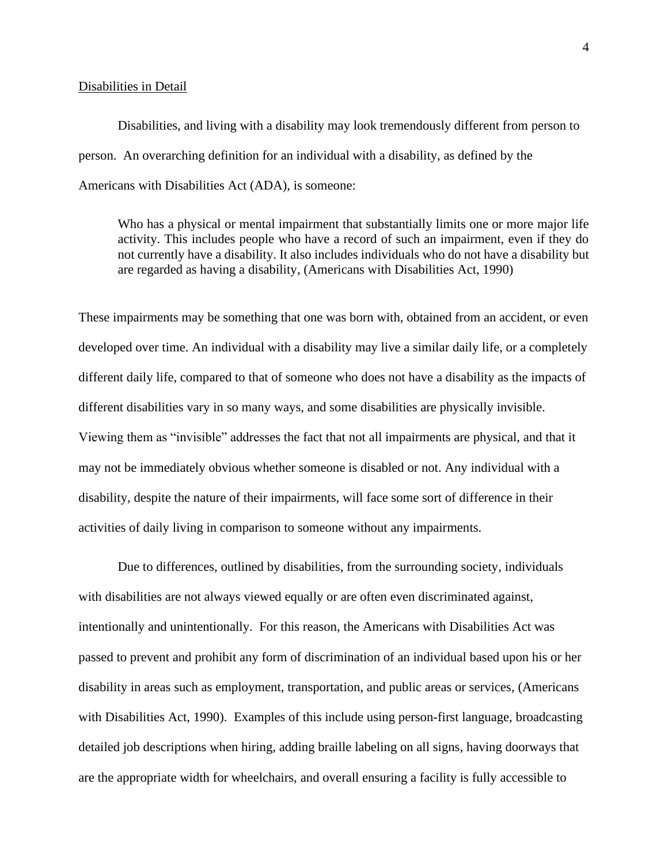#### Disabilities in Detail

Disabilities, and living with a disability may look tremendously different from person to person. An overarching definition for an individual with a disability, as defined by the Americans with Disabilities Act (ADA), is someone:

Who has a physical or mental impairment that substantially limits one or more major life activity. This includes people who have a record of such an impairment, even if they do not currently have a disability. It also includes individuals who do not have a disability but are regarded as having a disability, (Americans with Disabilities Act, 1990)

These impairments may be something that one was born with, obtained from an accident, or even developed over time. An individual with a disability may live a similar daily life, or a completely different daily life, compared to that of someone who does not have a disability as the impacts of different disabilities vary in so many ways, and some disabilities are physically invisible. Viewing them as "invisible" addresses the fact that not all impairments are physical, and that it may not be immediately obvious whether someone is disabled or not. Any individual with a disability, despite the nature of their impairments, will face some sort of difference in their activities of daily living in comparison to someone without any impairments.

Due to differences, outlined by disabilities, from the surrounding society, individuals with disabilities are not always viewed equally or are often even discriminated against, intentionally and unintentionally. For this reason, the Americans with Disabilities Act was passed to prevent and prohibit any form of discrimination of an individual based upon his or her disability in areas such as employment, transportation, and public areas or services, (Americans with Disabilities Act, 1990). Examples of this include using person-first language, broadcasting detailed job descriptions when hiring, adding braille labeling on all signs, having doorways that are the appropriate width for wheelchairs, and overall ensuring a facility is fully accessible to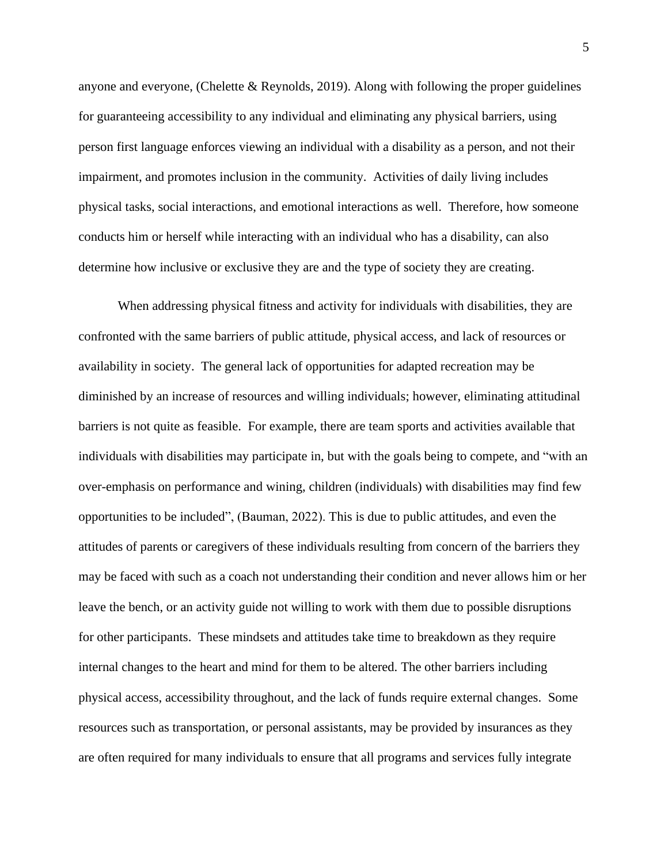anyone and everyone, (Chelette & Reynolds, 2019). Along with following the proper guidelines for guaranteeing accessibility to any individual and eliminating any physical barriers, using person first language enforces viewing an individual with a disability as a person, and not their impairment, and promotes inclusion in the community. Activities of daily living includes physical tasks, social interactions, and emotional interactions as well. Therefore, how someone conducts him or herself while interacting with an individual who has a disability, can also determine how inclusive or exclusive they are and the type of society they are creating.

When addressing physical fitness and activity for individuals with disabilities, they are confronted with the same barriers of public attitude, physical access, and lack of resources or availability in society. The general lack of opportunities for adapted recreation may be diminished by an increase of resources and willing individuals; however, eliminating attitudinal barriers is not quite as feasible. For example, there are team sports and activities available that individuals with disabilities may participate in, but with the goals being to compete, and "with an over-emphasis on performance and wining, children (individuals) with disabilities may find few opportunities to be included", (Bauman, 2022). This is due to public attitudes, and even the attitudes of parents or caregivers of these individuals resulting from concern of the barriers they may be faced with such as a coach not understanding their condition and never allows him or her leave the bench, or an activity guide not willing to work with them due to possible disruptions for other participants. These mindsets and attitudes take time to breakdown as they require internal changes to the heart and mind for them to be altered. The other barriers including physical access, accessibility throughout, and the lack of funds require external changes. Some resources such as transportation, or personal assistants, may be provided by insurances as they are often required for many individuals to ensure that all programs and services fully integrate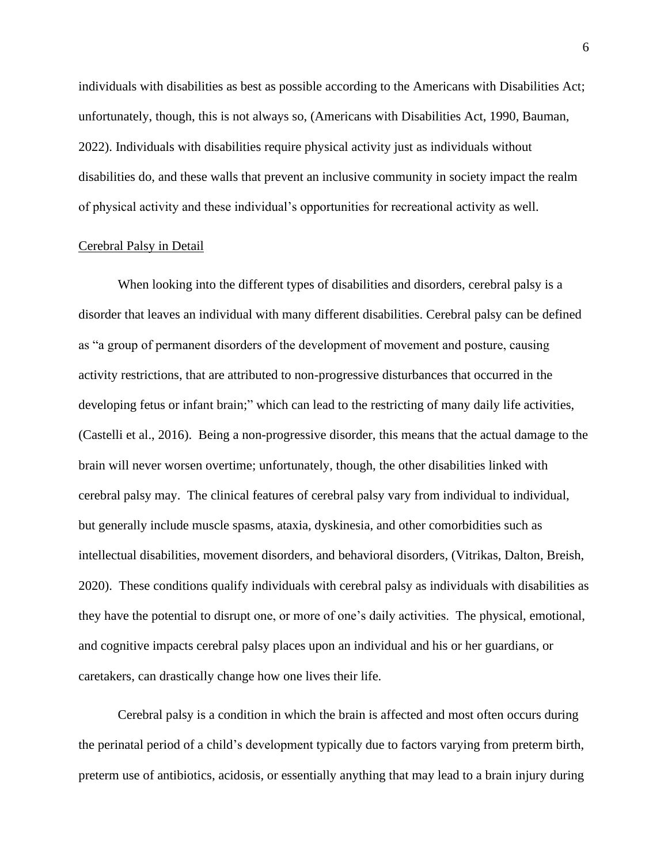individuals with disabilities as best as possible according to the Americans with Disabilities Act; unfortunately, though, this is not always so, (Americans with Disabilities Act, 1990, Bauman, 2022). Individuals with disabilities require physical activity just as individuals without disabilities do, and these walls that prevent an inclusive community in society impact the realm of physical activity and these individual's opportunities for recreational activity as well.

### Cerebral Palsy in Detail

When looking into the different types of disabilities and disorders, cerebral palsy is a disorder that leaves an individual with many different disabilities. Cerebral palsy can be defined as "a group of permanent disorders of the development of movement and posture, causing activity restrictions, that are attributed to non-progressive disturbances that occurred in the developing fetus or infant brain;" which can lead to the restricting of many daily life activities, (Castelli et al., 2016). Being a non-progressive disorder, this means that the actual damage to the brain will never worsen overtime; unfortunately, though, the other disabilities linked with cerebral palsy may. The clinical features of cerebral palsy vary from individual to individual, but generally include muscle spasms, ataxia, dyskinesia, and other comorbidities such as intellectual disabilities, movement disorders, and behavioral disorders, (Vitrikas, Dalton, Breish, 2020). These conditions qualify individuals with cerebral palsy as individuals with disabilities as they have the potential to disrupt one, or more of one's daily activities. The physical, emotional, and cognitive impacts cerebral palsy places upon an individual and his or her guardians, or caretakers, can drastically change how one lives their life.

Cerebral palsy is a condition in which the brain is affected and most often occurs during the perinatal period of a child's development typically due to factors varying from preterm birth, preterm use of antibiotics, acidosis, or essentially anything that may lead to a brain injury during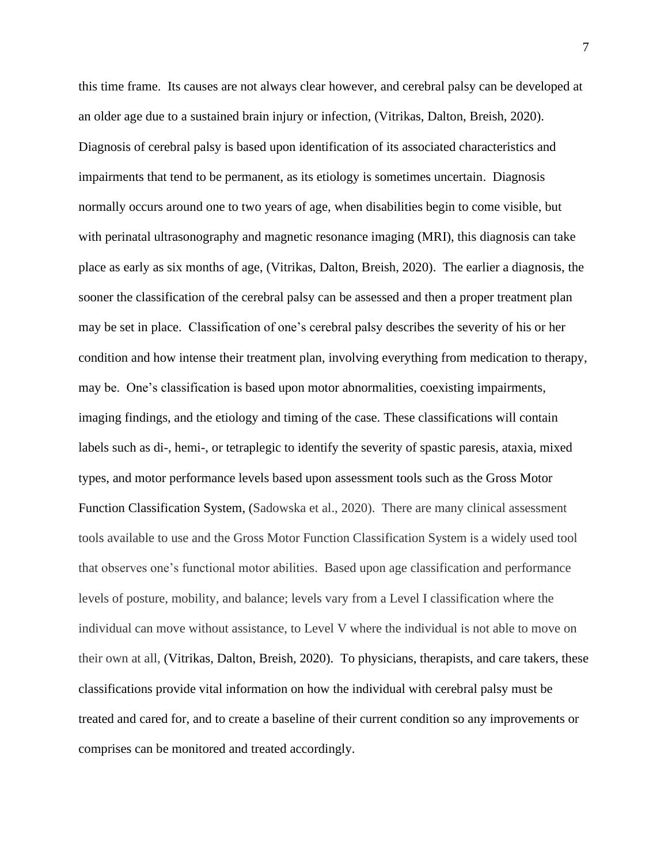this time frame. Its causes are not always clear however, and cerebral palsy can be developed at an older age due to a sustained brain injury or infection, (Vitrikas, Dalton, Breish, 2020). Diagnosis of cerebral palsy is based upon identification of its associated characteristics and impairments that tend to be permanent, as its etiology is sometimes uncertain. Diagnosis normally occurs around one to two years of age, when disabilities begin to come visible, but with perinatal ultrasonography and magnetic resonance imaging (MRI), this diagnosis can take place as early as six months of age, (Vitrikas, Dalton, Breish, 2020). The earlier a diagnosis, the sooner the classification of the cerebral palsy can be assessed and then a proper treatment plan may be set in place. Classification of one's cerebral palsy describes the severity of his or her condition and how intense their treatment plan, involving everything from medication to therapy, may be. One's classification is based upon motor abnormalities, coexisting impairments, imaging findings, and the etiology and timing of the case. These classifications will contain labels such as di-, hemi-, or tetraplegic to identify the severity of spastic paresis, ataxia, mixed types, and motor performance levels based upon assessment tools such as the Gross Motor Function Classification System, (Sadowska et al., 2020). There are many clinical assessment tools available to use and the Gross Motor Function Classification System is a widely used tool that observes one's functional motor abilities. Based upon age classification and performance levels of posture, mobility, and balance; levels vary from a Level I classification where the individual can move without assistance, to Level V where the individual is not able to move on their own at all, (Vitrikas, Dalton, Breish, 2020). To physicians, therapists, and care takers, these classifications provide vital information on how the individual with cerebral palsy must be treated and cared for, and to create a baseline of their current condition so any improvements or comprises can be monitored and treated accordingly.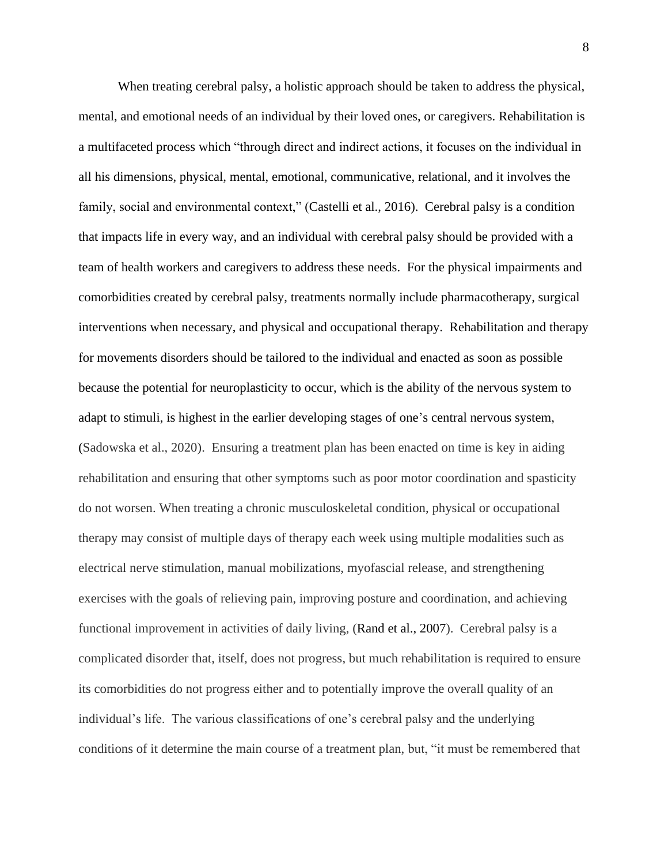When treating cerebral palsy, a holistic approach should be taken to address the physical, mental, and emotional needs of an individual by their loved ones, or caregivers. Rehabilitation is a multifaceted process which "through direct and indirect actions, it focuses on the individual in all his dimensions, physical, mental, emotional, communicative, relational, and it involves the family, social and environmental context," (Castelli et al., 2016). Cerebral palsy is a condition that impacts life in every way, and an individual with cerebral palsy should be provided with a team of health workers and caregivers to address these needs. For the physical impairments and comorbidities created by cerebral palsy, treatments normally include pharmacotherapy, surgical interventions when necessary, and physical and occupational therapy. Rehabilitation and therapy for movements disorders should be tailored to the individual and enacted as soon as possible because the potential for neuroplasticity to occur, which is the ability of the nervous system to adapt to stimuli, is highest in the earlier developing stages of one's central nervous system, (Sadowska et al., 2020). Ensuring a treatment plan has been enacted on time is key in aiding rehabilitation and ensuring that other symptoms such as poor motor coordination and spasticity do not worsen. When treating a chronic musculoskeletal condition, physical or occupational therapy may consist of multiple days of therapy each week using multiple modalities such as electrical nerve stimulation, manual mobilizations, myofascial release, and strengthening exercises with the goals of relieving pain, improving posture and coordination, and achieving functional improvement in activities of daily living, (Rand et al., 2007). Cerebral palsy is a complicated disorder that, itself, does not progress, but much rehabilitation is required to ensure its comorbidities do not progress either and to potentially improve the overall quality of an individual's life. The various classifications of one's cerebral palsy and the underlying conditions of it determine the main course of a treatment plan, but, "it must be remembered that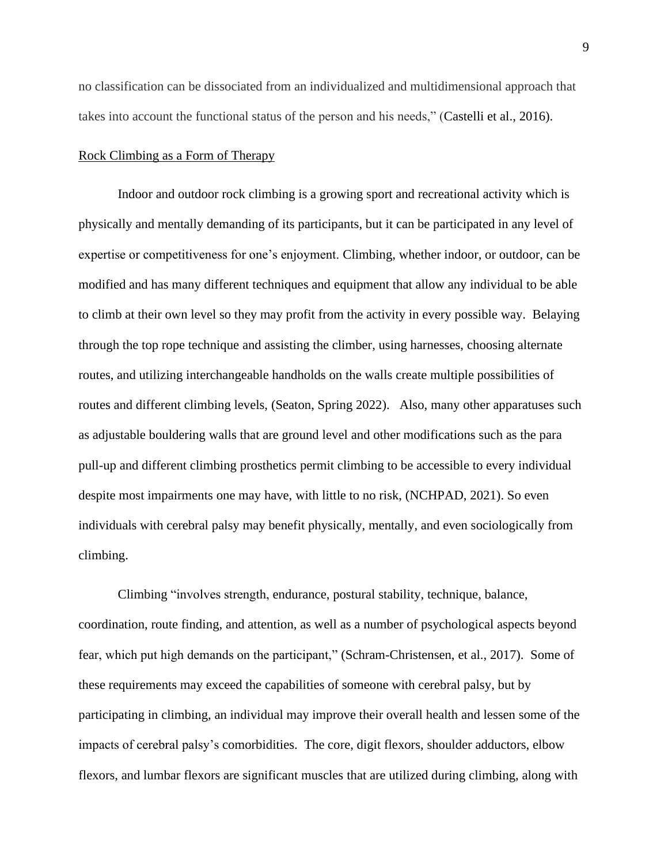no classification can be dissociated from an individualized and multidimensional approach that takes into account the functional status of the person and his needs," (Castelli et al., 2016).

## Rock Climbing as a Form of Therapy

Indoor and outdoor rock climbing is a growing sport and recreational activity which is physically and mentally demanding of its participants, but it can be participated in any level of expertise or competitiveness for one's enjoyment. Climbing, whether indoor, or outdoor, can be modified and has many different techniques and equipment that allow any individual to be able to climb at their own level so they may profit from the activity in every possible way. Belaying through the top rope technique and assisting the climber, using harnesses, choosing alternate routes, and utilizing interchangeable handholds on the walls create multiple possibilities of routes and different climbing levels, (Seaton, Spring 2022). Also, many other apparatuses such as adjustable bouldering walls that are ground level and other modifications such as the para pull-up and different climbing prosthetics permit climbing to be accessible to every individual despite most impairments one may have, with little to no risk, (NCHPAD, 2021). So even individuals with cerebral palsy may benefit physically, mentally, and even sociologically from climbing.

Climbing "involves strength, endurance, postural stability, technique, balance, coordination, route finding, and attention, as well as a number of psychological aspects beyond fear, which put high demands on the participant," (Schram-Christensen, et al., 2017). Some of these requirements may exceed the capabilities of someone with cerebral palsy, but by participating in climbing, an individual may improve their overall health and lessen some of the impacts of cerebral palsy's comorbidities. The core, digit flexors, shoulder adductors, elbow flexors, and lumbar flexors are significant muscles that are utilized during climbing, along with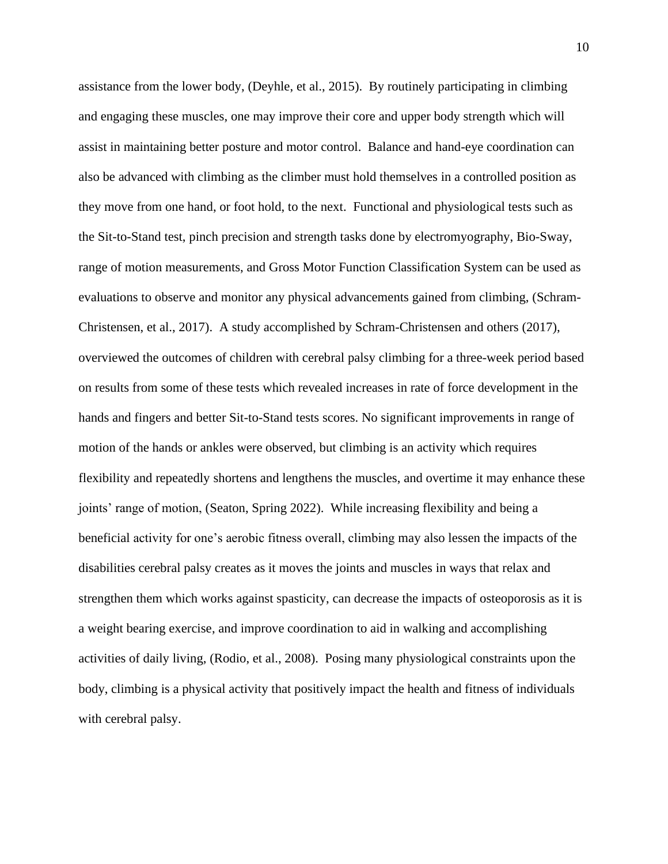assistance from the lower body, (Deyhle, et al., 2015). By routinely participating in climbing and engaging these muscles, one may improve their core and upper body strength which will assist in maintaining better posture and motor control. Balance and hand-eye coordination can also be advanced with climbing as the climber must hold themselves in a controlled position as they move from one hand, or foot hold, to the next. Functional and physiological tests such as the Sit-to-Stand test, pinch precision and strength tasks done by electromyography, Bio-Sway, range of motion measurements, and Gross Motor Function Classification System can be used as evaluations to observe and monitor any physical advancements gained from climbing, (Schram-Christensen, et al., 2017). A study accomplished by Schram-Christensen and others (2017), overviewed the outcomes of children with cerebral palsy climbing for a three-week period based on results from some of these tests which revealed increases in rate of force development in the hands and fingers and better Sit-to-Stand tests scores. No significant improvements in range of motion of the hands or ankles were observed, but climbing is an activity which requires flexibility and repeatedly shortens and lengthens the muscles, and overtime it may enhance these joints' range of motion, (Seaton, Spring 2022). While increasing flexibility and being a beneficial activity for one's aerobic fitness overall, climbing may also lessen the impacts of the disabilities cerebral palsy creates as it moves the joints and muscles in ways that relax and strengthen them which works against spasticity, can decrease the impacts of osteoporosis as it is a weight bearing exercise, and improve coordination to aid in walking and accomplishing activities of daily living, (Rodio, et al., 2008). Posing many physiological constraints upon the body, climbing is a physical activity that positively impact the health and fitness of individuals with cerebral palsy.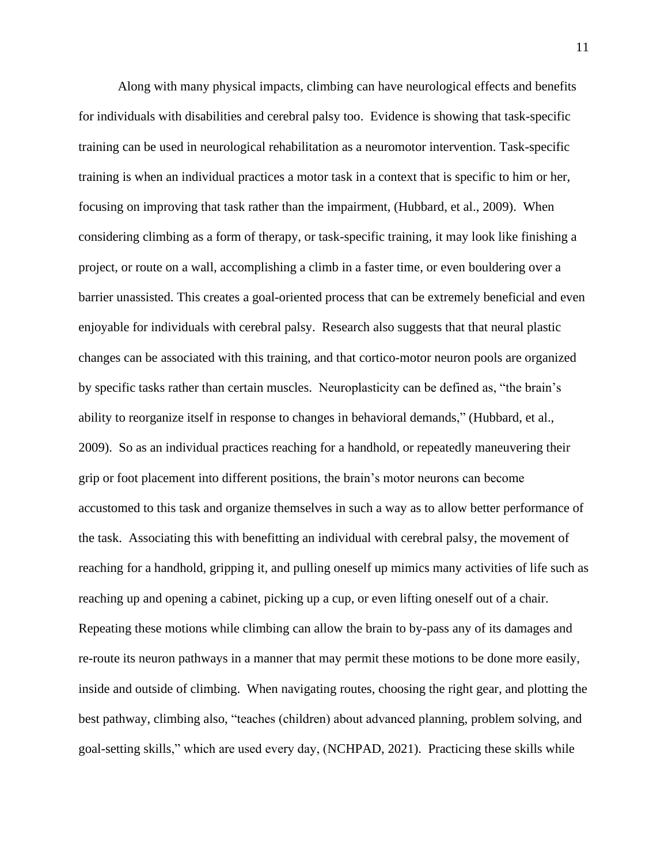Along with many physical impacts, climbing can have neurological effects and benefits for individuals with disabilities and cerebral palsy too. Evidence is showing that task-specific training can be used in neurological rehabilitation as a neuromotor intervention. Task-specific training is when an individual practices a motor task in a context that is specific to him or her, focusing on improving that task rather than the impairment, (Hubbard, et al., 2009). When considering climbing as a form of therapy, or task-specific training, it may look like finishing a project, or route on a wall, accomplishing a climb in a faster time, or even bouldering over a barrier unassisted. This creates a goal-oriented process that can be extremely beneficial and even enjoyable for individuals with cerebral palsy. Research also suggests that that neural plastic changes can be associated with this training, and that cortico-motor neuron pools are organized by specific tasks rather than certain muscles. Neuroplasticity can be defined as, "the brain's ability to reorganize itself in response to changes in behavioral demands," (Hubbard, et al., 2009). So as an individual practices reaching for a handhold, or repeatedly maneuvering their grip or foot placement into different positions, the brain's motor neurons can become accustomed to this task and organize themselves in such a way as to allow better performance of the task. Associating this with benefitting an individual with cerebral palsy, the movement of reaching for a handhold, gripping it, and pulling oneself up mimics many activities of life such as reaching up and opening a cabinet, picking up a cup, or even lifting oneself out of a chair. Repeating these motions while climbing can allow the brain to by-pass any of its damages and re-route its neuron pathways in a manner that may permit these motions to be done more easily, inside and outside of climbing. When navigating routes, choosing the right gear, and plotting the best pathway, climbing also, "teaches (children) about advanced planning, problem solving, and goal-setting skills," which are used every day, (NCHPAD, 2021). Practicing these skills while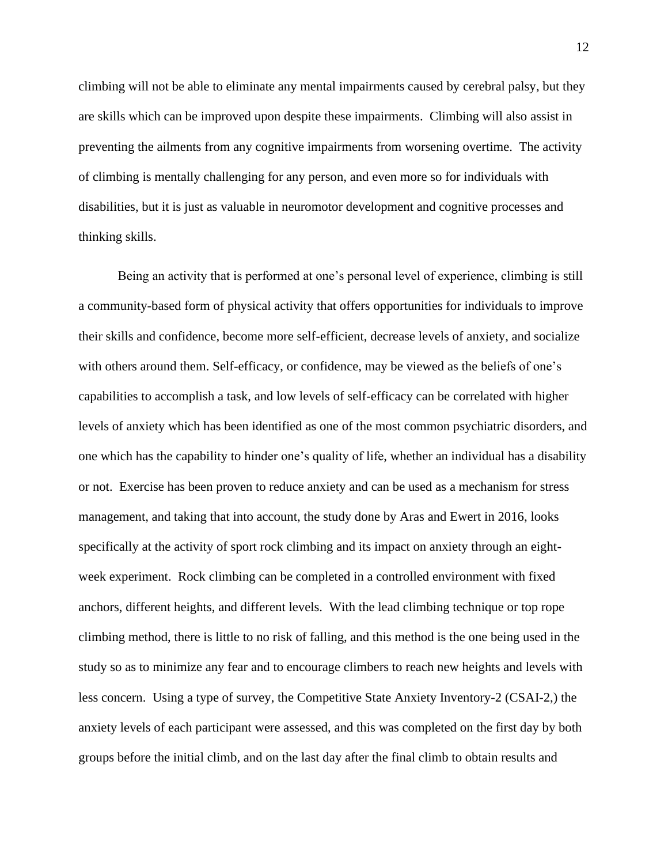climbing will not be able to eliminate any mental impairments caused by cerebral palsy, but they are skills which can be improved upon despite these impairments. Climbing will also assist in preventing the ailments from any cognitive impairments from worsening overtime. The activity of climbing is mentally challenging for any person, and even more so for individuals with disabilities, but it is just as valuable in neuromotor development and cognitive processes and thinking skills.

Being an activity that is performed at one's personal level of experience, climbing is still a community-based form of physical activity that offers opportunities for individuals to improve their skills and confidence, become more self-efficient, decrease levels of anxiety, and socialize with others around them. Self-efficacy, or confidence, may be viewed as the beliefs of one's capabilities to accomplish a task, and low levels of self-efficacy can be correlated with higher levels of anxiety which has been identified as one of the most common psychiatric disorders, and one which has the capability to hinder one's quality of life, whether an individual has a disability or not. Exercise has been proven to reduce anxiety and can be used as a mechanism for stress management, and taking that into account, the study done by Aras and Ewert in 2016, looks specifically at the activity of sport rock climbing and its impact on anxiety through an eightweek experiment. Rock climbing can be completed in a controlled environment with fixed anchors, different heights, and different levels. With the lead climbing technique or top rope climbing method, there is little to no risk of falling, and this method is the one being used in the study so as to minimize any fear and to encourage climbers to reach new heights and levels with less concern. Using a type of survey, the Competitive State Anxiety Inventory-2 (CSAI-2,) the anxiety levels of each participant were assessed, and this was completed on the first day by both groups before the initial climb, and on the last day after the final climb to obtain results and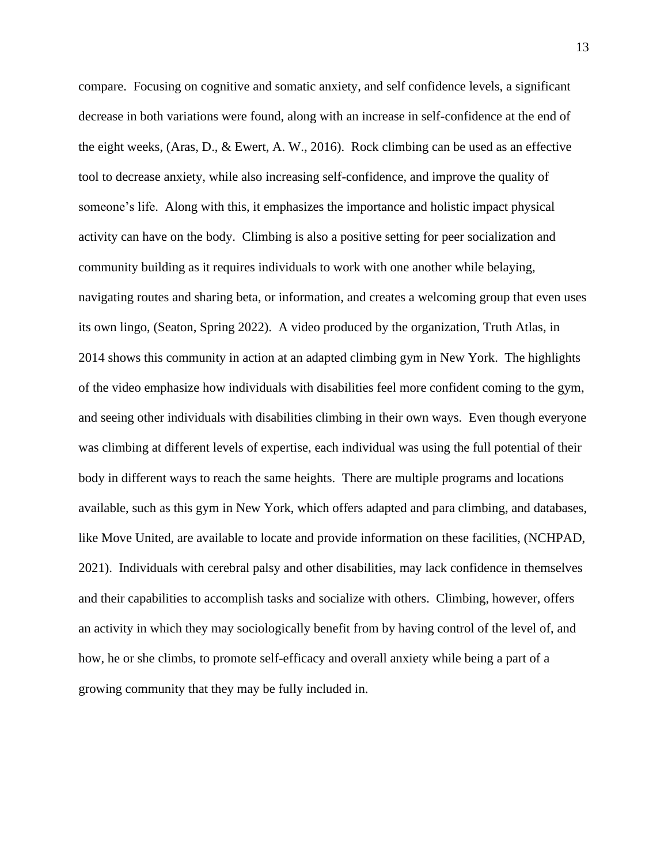compare. Focusing on cognitive and somatic anxiety, and self confidence levels, a significant decrease in both variations were found, along with an increase in self-confidence at the end of the eight weeks, (Aras, D., & Ewert, A. W., 2016). Rock climbing can be used as an effective tool to decrease anxiety, while also increasing self-confidence, and improve the quality of someone's life. Along with this, it emphasizes the importance and holistic impact physical activity can have on the body. Climbing is also a positive setting for peer socialization and community building as it requires individuals to work with one another while belaying, navigating routes and sharing beta, or information, and creates a welcoming group that even uses its own lingo, (Seaton, Spring 2022). A video produced by the organization, Truth Atlas, in 2014 shows this community in action at an adapted climbing gym in New York. The highlights of the video emphasize how individuals with disabilities feel more confident coming to the gym, and seeing other individuals with disabilities climbing in their own ways. Even though everyone was climbing at different levels of expertise, each individual was using the full potential of their body in different ways to reach the same heights. There are multiple programs and locations available, such as this gym in New York, which offers adapted and para climbing, and databases, like Move United, are available to locate and provide information on these facilities, (NCHPAD, 2021). Individuals with cerebral palsy and other disabilities, may lack confidence in themselves and their capabilities to accomplish tasks and socialize with others. Climbing, however, offers an activity in which they may sociologically benefit from by having control of the level of, and how, he or she climbs, to promote self-efficacy and overall anxiety while being a part of a growing community that they may be fully included in.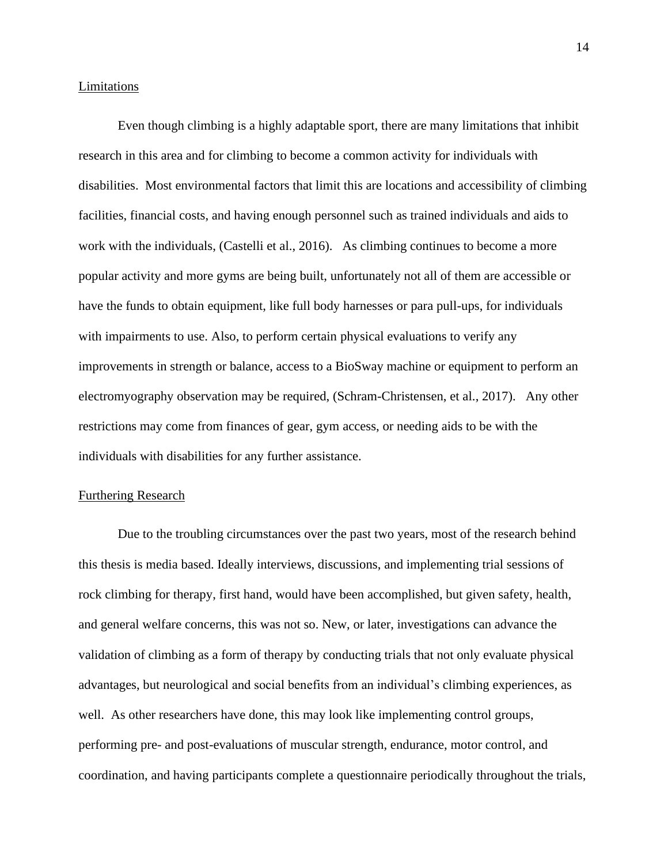#### Limitations

Even though climbing is a highly adaptable sport, there are many limitations that inhibit research in this area and for climbing to become a common activity for individuals with disabilities. Most environmental factors that limit this are locations and accessibility of climbing facilities, financial costs, and having enough personnel such as trained individuals and aids to work with the individuals, (Castelli et al., 2016). As climbing continues to become a more popular activity and more gyms are being built, unfortunately not all of them are accessible or have the funds to obtain equipment, like full body harnesses or para pull-ups, for individuals with impairments to use. Also, to perform certain physical evaluations to verify any improvements in strength or balance, access to a BioSway machine or equipment to perform an electromyography observation may be required, (Schram-Christensen, et al., 2017). Any other restrictions may come from finances of gear, gym access, or needing aids to be with the individuals with disabilities for any further assistance.

### Furthering Research

Due to the troubling circumstances over the past two years, most of the research behind this thesis is media based. Ideally interviews, discussions, and implementing trial sessions of rock climbing for therapy, first hand, would have been accomplished, but given safety, health, and general welfare concerns, this was not so. New, or later, investigations can advance the validation of climbing as a form of therapy by conducting trials that not only evaluate physical advantages, but neurological and social benefits from an individual's climbing experiences, as well. As other researchers have done, this may look like implementing control groups, performing pre- and post-evaluations of muscular strength, endurance, motor control, and coordination, and having participants complete a questionnaire periodically throughout the trials,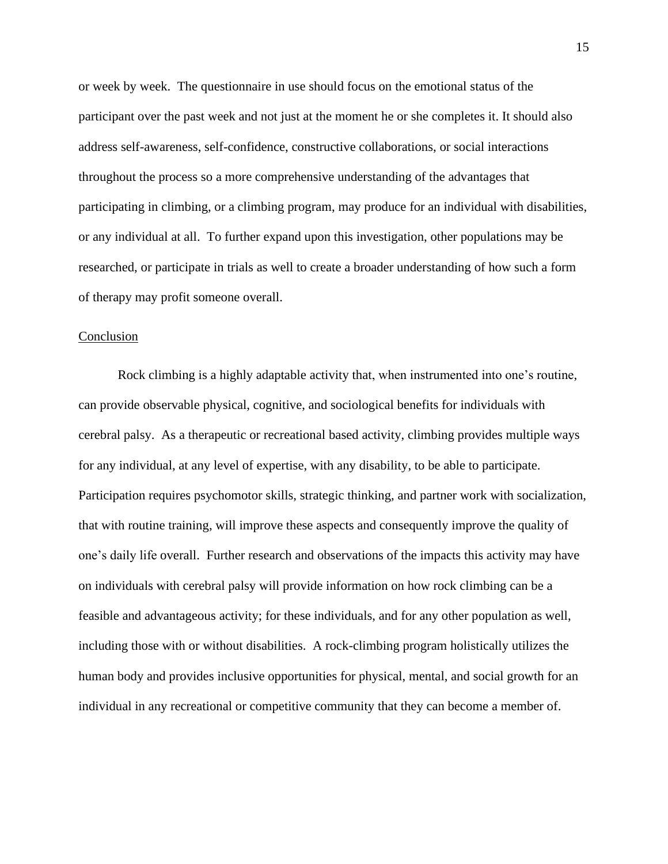or week by week. The questionnaire in use should focus on the emotional status of the participant over the past week and not just at the moment he or she completes it. It should also address self-awareness, self-confidence, constructive collaborations, or social interactions throughout the process so a more comprehensive understanding of the advantages that participating in climbing, or a climbing program, may produce for an individual with disabilities, or any individual at all. To further expand upon this investigation, other populations may be researched, or participate in trials as well to create a broader understanding of how such a form of therapy may profit someone overall.

## **Conclusion**

Rock climbing is a highly adaptable activity that, when instrumented into one's routine, can provide observable physical, cognitive, and sociological benefits for individuals with cerebral palsy. As a therapeutic or recreational based activity, climbing provides multiple ways for any individual, at any level of expertise, with any disability, to be able to participate. Participation requires psychomotor skills, strategic thinking, and partner work with socialization, that with routine training, will improve these aspects and consequently improve the quality of one's daily life overall. Further research and observations of the impacts this activity may have on individuals with cerebral palsy will provide information on how rock climbing can be a feasible and advantageous activity; for these individuals, and for any other population as well, including those with or without disabilities. A rock-climbing program holistically utilizes the human body and provides inclusive opportunities for physical, mental, and social growth for an individual in any recreational or competitive community that they can become a member of.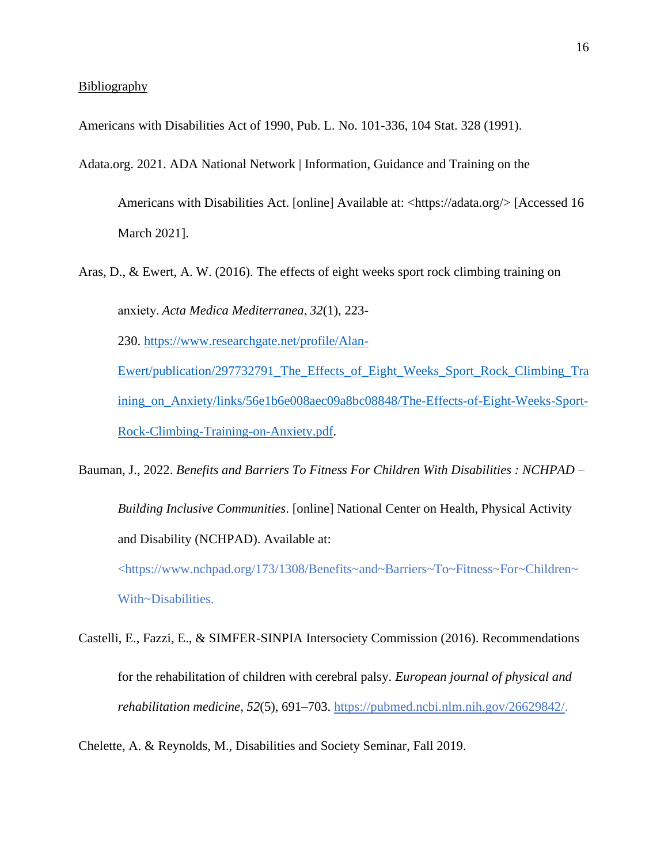Americans with Disabilities Act of 1990, Pub. L. No. 101-336, 104 Stat. 328 (1991).

- Adata.org. 2021. ADA National Network | Information, Guidance and Training on the Americans with Disabilities Act. [online] Available at: <https://adata.org/> [Accessed 16 March 2021].
- Aras, D., & Ewert, A. W. (2016). The effects of eight weeks sport rock climbing training on anxiety. *Acta Medica Mediterranea*, *32*(1), 223- 230. [https://www.researchgate.net/profile/Alan-](https://www.researchgate.net/profile/Alan-Ewert/publication/297732791_The_Effects_of_Eight_Weeks_Sport_Rock_Climbing_Training_on_Anxiety/links/56e1b6e008aec09a8bc08848/The-Effects-of-Eight-Weeks-Sport-Rock-Climbing-Training-on-Anxiety.pdf)[Ewert/publication/297732791\\_The\\_Effects\\_of\\_Eight\\_Weeks\\_Sport\\_Rock\\_Climbing\\_Tra](https://www.researchgate.net/profile/Alan-Ewert/publication/297732791_The_Effects_of_Eight_Weeks_Sport_Rock_Climbing_Training_on_Anxiety/links/56e1b6e008aec09a8bc08848/The-Effects-of-Eight-Weeks-Sport-Rock-Climbing-Training-on-Anxiety.pdf)

[ining\\_on\\_Anxiety/links/56e1b6e008aec09a8bc08848/The-Effects-of-Eight-Weeks-Sport-](https://www.researchgate.net/profile/Alan-Ewert/publication/297732791_The_Effects_of_Eight_Weeks_Sport_Rock_Climbing_Training_on_Anxiety/links/56e1b6e008aec09a8bc08848/The-Effects-of-Eight-Weeks-Sport-Rock-Climbing-Training-on-Anxiety.pdf)[Rock-Climbing-Training-on-Anxiety.pdf.](https://www.researchgate.net/profile/Alan-Ewert/publication/297732791_The_Effects_of_Eight_Weeks_Sport_Rock_Climbing_Training_on_Anxiety/links/56e1b6e008aec09a8bc08848/The-Effects-of-Eight-Weeks-Sport-Rock-Climbing-Training-on-Anxiety.pdf)

Bauman, J., 2022. *Benefits and Barriers To Fitness For Children With Disabilities : NCHPAD – Building Inclusive Communities*. [online] National Center on Health, Physical Activity and Disability (NCHPAD). Available at:

<https://www.nchpad.org/173/1308/Benefits~and~Barriers~To~Fitness~For~Children~ With~Disabilities.

Castelli, E., Fazzi, E., & SIMFER-SINPIA Intersociety Commission (2016). Recommendations for the rehabilitation of children with cerebral palsy. *European journal of physical and rehabilitation medicine*, *52*(5), 691–703. [https://pubmed.ncbi.nlm.nih.gov/26629842/.](https://pubmed.ncbi.nlm.nih.gov/26629842/)

Chelette, A. & Reynolds, M., Disabilities and Society Seminar, Fall 2019.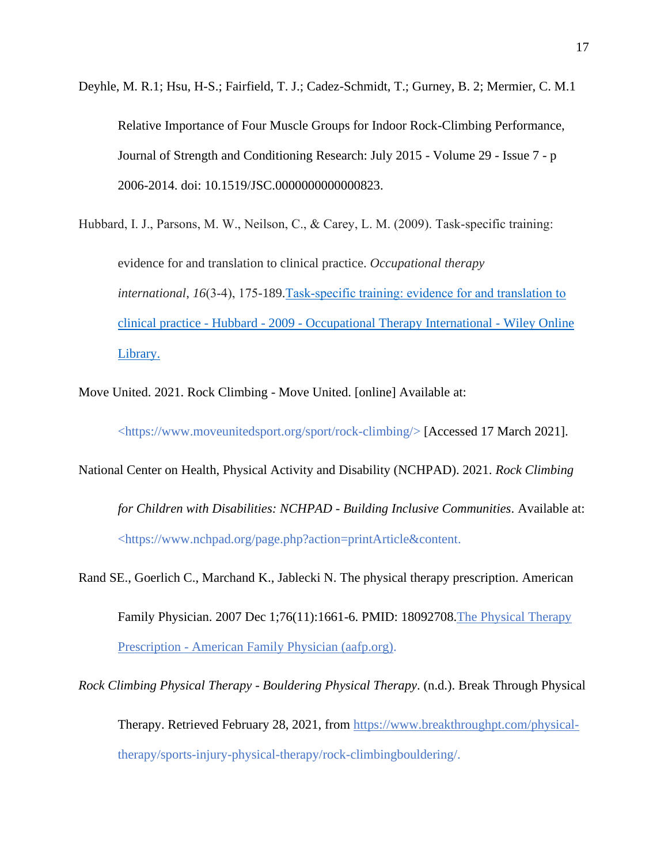Deyhle, M. R.1; Hsu, H-S.; Fairfield, T. J.; Cadez-Schmidt, T.; Gurney, B. 2; Mermier, C. M.1 Relative Importance of Four Muscle Groups for Indoor Rock-Climbing Performance, Journal of Strength and Conditioning Research: July 2015 - Volume 29 - Issue 7 - p 2006-2014. doi: 10.1519/JSC.0000000000000823.

Hubbard, I. J., Parsons, M. W., Neilson, C., & Carey, L. M. (2009). Task-specific training: evidence for and translation to clinical practice. *Occupational therapy international*, *16*(3‐4), 175-189[.Task‐specific training: evidence for and translation to](https://onlinelibrary.wiley.com/doi/pdf/10.1002/oti.275)  clinical practice - Hubbard - 2009 - [Occupational Therapy International -](https://onlinelibrary.wiley.com/doi/pdf/10.1002/oti.275) Wiley Online [Library.](https://onlinelibrary.wiley.com/doi/pdf/10.1002/oti.275)

Move United. 2021. Rock Climbing - Move United. [online] Available at:

<https://www.moveunitedsport.org/sport/rock-climbing/> [Accessed 17 March 2021].

National Center on Health, Physical Activity and Disability (NCHPAD). 2021. *Rock Climbing* 

*for Children with Disabilities: NCHPAD - Building Inclusive Communities*. Available at: <https://www.nchpad.org/page.php?action=printArticle&content.

Rand SE., Goerlich C., Marchand K., Jablecki N. The physical therapy prescription. American Family Physician. 2007 Dec 1;76(11):1661-6. PMID: 18092708. The Physical Therapy Prescription - [American Family Physician \(aafp.org\).](https://www.aafp.org/afp/2007/1201/p1661.html)

*Rock Climbing Physical Therapy - Bouldering Physical Therapy*. (n.d.). Break Through Physical Therapy. Retrieved February 28, 2021, from<https://www.breakthroughpt.com/physical->

therapy/sports-injury-physical-therapy/rock-climbingbouldering/.